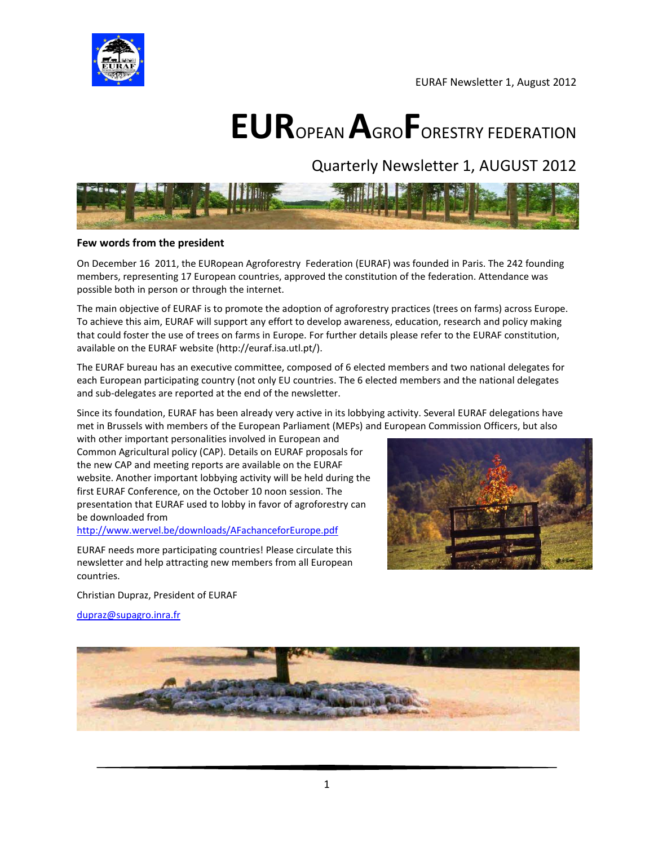

EURAF Newsletter 1, August 2012

# **EUR**OPEAN **A**GRO**F**ORESTRY FEDERATION

Quarterly Newsletter 1, AUGUST 2012



#### **Few words from the president**

On December 16 2011, the EURopean Agroforestry Federation (EURAF) was founded in Paris. The 242 founding members, representing 17 European countries, approved the constitution of the federation. Attendance was possible both in person or through the internet.

The main objective of EURAF is to promote the adoption of agroforestry practices (trees on farms) across Europe. To achieve this aim, EURAF will support any effort to develop awareness, education, research and policy making that could foster the use of trees on farms in Europe. For further details please refer to the EURAF constitution, available on the EURAF website (http://euraf.isa.utl.pt/).

The EURAF bureau has an executive committee, composed of 6 elected members and two national delegates for each European participating country (not only EU countries. The 6 elected members and the national delegates and sub-delegates are reported at the end of the newsletter.

Since its foundation, EURAF has been already very active in its lobbying activity. Several EURAF delegations have met in Brussels with members of the European Parliament (MEPs) and European Commission Officers, but also

with other important personalities involved in European and Common Agricultural policy (CAP). Details on EURAF proposals for the new CAP and meeting reports are available on the EURAF website. Another important lobbying activity will be held during the first EURAF Conference, on the October 10 noon session. The presentation that EURAF used to lobby in favor of agroforestry can be downloaded from

#### <http://www.wervel.be/downloads/AFachanceforEurope.pdf>

EURAF needs more participating countries! Please circulate this newsletter and help attracting new members from all European countries.

Christian Dupraz, President of EURAF

[dupraz@supagro.inra.fr](mailto:dupraz@supagro.inra.fr)



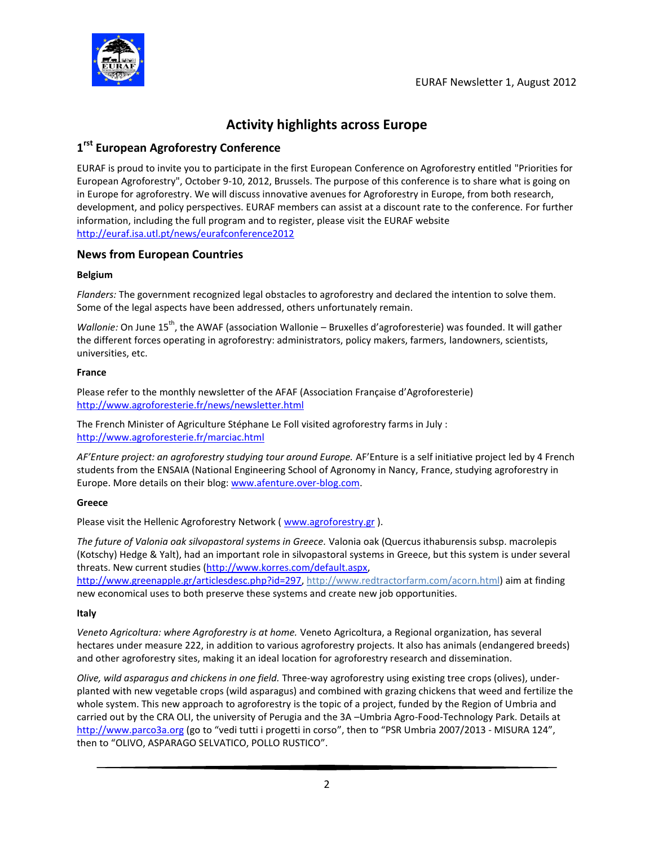

# **Activity highlights across Europe**

# **1 rst European Agroforestry Conference**

EURAF is proud to invite you to participate in the first European Conference on Agroforestry entitled "Priorities for European Agroforestry", October 9-10, 2012, Brussels. The purpose of this conference is to share what is going on in Europe for agroforestry. We will discuss innovative avenues for Agroforestry in Europe, from both research, development, and policy perspectives. EURAF members can assist at a discount rate to the conference. For further information, including the full program and to register, please visit the EURAF website <http://euraf.isa.utl.pt/news/eurafconference2012>

# **News from European Countries**

#### **Belgium**

*Flanders:* The government recognized legal obstacles to agroforestry and declared the intention to solve them. Some of the legal aspects have been addressed, others unfortunately remain.

*Wallonie:* On June 15<sup>th</sup>, the AWAF (association Wallonie – Bruxelles d'agroforesterie) was founded. It will gather the different forces operating in agroforestry: administrators, policy makers, farmers, landowners, scientists, universities, etc.

#### **France**

Please refer to the monthly newsletter of the AFAF (Association Française d'Agroforesterie) <http://www.agroforesterie.fr/news/newsletter.html>

The French Minister of Agriculture Stéphane Le Foll visited agroforestry farms in July : <http://www.agroforesterie.fr/marciac.html>

*AF'Enture project: an agroforestry studying tour around Europe.* AF'Enture is a self initiative project led by 4 French students from the ENSAIA (National Engineering School of Agronomy in Nancy, France, studying agroforestry in Europe. More details on their blog[: www.afenture.over-blog.com.](http://www.afenture.over-blog.com/)

## **Greece**

Please visit the Hellenic Agroforestry Network ( [www.agroforestry.gr](http://www.agroforestry.gr/)).

*The future of Valonia oak silvopastoral systems in Greece.* Valonia oak (Quercus ithaburensis subsp. macrolepis (Kotschy) Hedge & Yalt), had an important role in silvopastoral systems in Greece, but this system is under several threats. New current studies [\(http://www.korres.com/default.aspx,](http://www.korres.com/default.aspx)

[http://www.greenapple.gr/articlesdesc.php?id=297,](http://www.greenapple.gr/articlesdesc.php?id=297) http://www.redtractorfarm.com/acorn.html) aim at finding new economical uses to both preserve these systems and create new job opportunities.

## **Italy**

*Veneto Agricoltura: where Agroforestry is at home.* Veneto Agricoltura, a Regional organization, has several hectares under measure 222, in addition to various agroforestry projects. It also has animals (endangered breeds) and other agroforestry sites, making it an ideal location for agroforestry research and dissemination.

*Olive, wild asparagus and chickens in one field.* Three-way agroforestry using existing tree crops (olives), underplanted with new vegetable crops (wild asparagus) and combined with grazing chickens that weed and fertilize the whole system. This new approach to agroforestry is the topic of a project, funded by the Region of Umbria and carried out by the CRA OLI, the university of Perugia and the 3A –Umbria Agro-Food-Technology Park. Details at [http://www.parco3a.org](http://www.parco3a.org/) (go to "vedi tutti i progetti in corso", then to "PSR Umbria 2007/2013 - MISURA 124", then to "OLIVO, ASPARAGO SELVATICO, POLLO RUSTICO".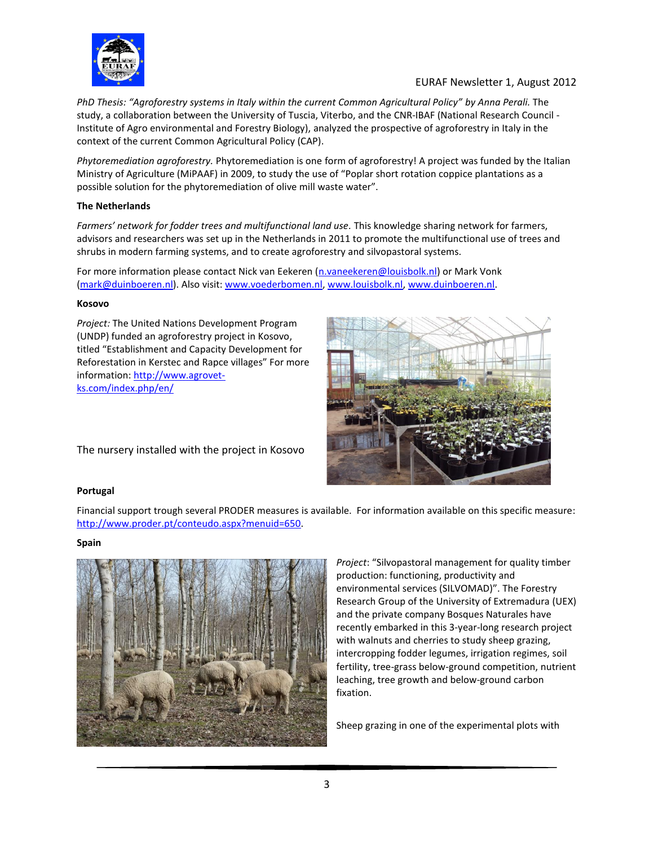

# EURAF Newsletter 1, August 2012

*PhD Thesis: "Agroforestry systems in Italy within the current Common Agricultural Policy" by Anna Perali.* The study, a collaboration between the University of Tuscia, Viterbo, and the CNR-IBAF (National Research Council - Institute of Agro environmental and Forestry Biology), analyzed the prospective of agroforestry in Italy in the context of the current Common Agricultural Policy (CAP).

*Phytoremediation agroforestry.* Phytoremediation is one form of agroforestry! A project was funded by the Italian Ministry of Agriculture (MiPAAF) in 2009, to study the use of "Poplar short rotation coppice plantations as a possible solution for the phytoremediation of olive mill waste water".

#### **The Netherlands**

*Farmers' network for fodder trees and multifunctional land use.* This knowledge sharing network for farmers, advisors and researchers was set up in the Netherlands in 2011 to promote the multifunctional use of trees and shrubs in modern farming systems, and to create agroforestry and silvopastoral systems.

For more information please contact Nick van Eekeren [\(n.vaneekeren@louisbolk.nl\)](mailto:n.vaneekeren@louisbolk.nl) or Mark Vonk [\(mark@duinboeren.nl\)](mailto:mark@duinboeren.nl). Also visit: [www.voederbomen.nl,](http://www.voederbomen.nl/) [www.louisbolk.nl,](http://www.louisbolk.nl/) [www.duinboeren.nl.](http://www.duinboeren.nl/) 

#### **Kosovo**

*Project:* The United Nations Development Program (UNDP) funded an agroforestry project in Kosovo, titled "Establishment and Capacity Development for Reforestation in Kerstec and Rapce villages" For more information: [http://www.agrovet](http://www.agrovet-ks.com/index.php/en/)[ks.com/index.php/en/](http://www.agrovet-ks.com/index.php/en/)



The nursery installed with the project in Kosovo

## **Portugal**

Financial support trough several PRODER measures is available. For information available on this specific measure: [http://www.proder.pt/conteudo.aspx?menuid=650.](http://www.proder.pt/conteudo.aspx?menuid=650)

## **Spain**



*Project*: "Silvopastoral management for quality timber production: functioning, productivity and environmental services (SILVOMAD)". The Forestry Research Group of the University of Extremadura (UEX) and the private company Bosques Naturales have recently embarked in this 3-year-long research project with walnuts and cherries to study sheep grazing, intercropping fodder legumes, irrigation regimes, soil fertility, tree-grass below-ground competition, nutrient leaching, tree growth and below-ground carbon fixation.

Sheep grazing in one of the experimental plots with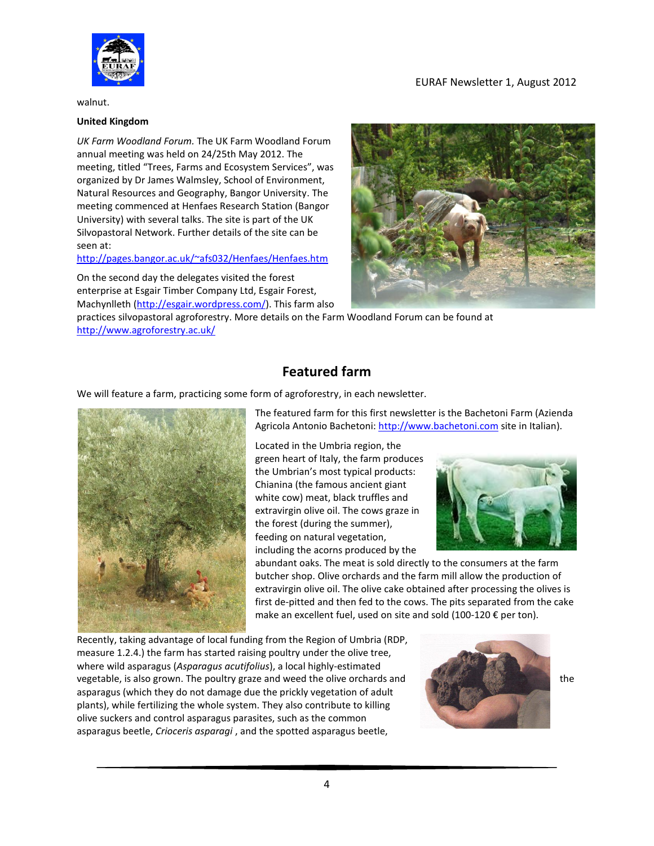

EURAF Newsletter 1, August 2012

walnut.

#### **United Kingdom**

*UK Farm Woodland Forum.* The UK Farm Woodland Forum annual meeting was held on 24/25th May 2012. The meeting, titled "Trees, Farms and Ecosystem Services", was organized by Dr James Walmsley, School of Environment, Natural Resources and Geography, Bangor University. The meeting commenced at Henfaes Research Station (Bangor University) with several talks. The site is part of the UK Silvopastoral Network. Further details of the site can be seen at:

#### <http://pages.bangor.ac.uk/~afs032/Henfaes/Henfaes.htm>

On the second day the delegates visited the forest enterprise at Esgair Timber Company Ltd, Esgair Forest, Machynlleth [\(http://esgair.wordpress.com/\)](http://esgair.wordpress.com/). This farm also

practices silvopastoral agroforestry. More details on the Farm Woodland Forum can be found at <http://www.agroforestry.ac.uk/>

# **Featured farm**

We will feature a farm, practicing some form of agroforestry, in each newsletter.



The featured farm for this first newsletter is the Bachetoni Farm (Azienda Agricola Antonio Bachetoni[: http://www.bachetoni.com](http://www.bachetoni.com/) site in Italian).

Located in the Umbria region, the green heart of Italy, the farm produces the Umbrian's most typical products: Chianina (the famous ancient giant white cow) meat, black truffles and extravirgin olive oil. The cows graze in the forest (during the summer), feeding on natural vegetation, including the acorns produced by the



abundant oaks. The meat is sold directly to the consumers at the farm butcher shop. Olive orchards and the farm mill allow the production of extravirgin olive oil. The olive cake obtained after processing the olives is first de-pitted and then fed to the cows. The pits separated from the cake make an excellent fuel, used on site and sold (100-120 € per ton).

Recently, taking advantage of local funding from the Region of Umbria (RDP, measure 1.2.4.) the farm has started raising poultry under the olive tree, where wild asparagus (*Asparagus acutifolius*), a local highly-estimated vegetable, is also grown. The poultry graze and weed the olive orchards and the asparagus (which they do not damage due the prickly vegetation of adult plants), while fertilizing the whole system. They also contribute to killing olive suckers and control asparagus parasites, such as the common asparagus beetle, *Crioceris asparagi* , and the spotted asparagus beetle,